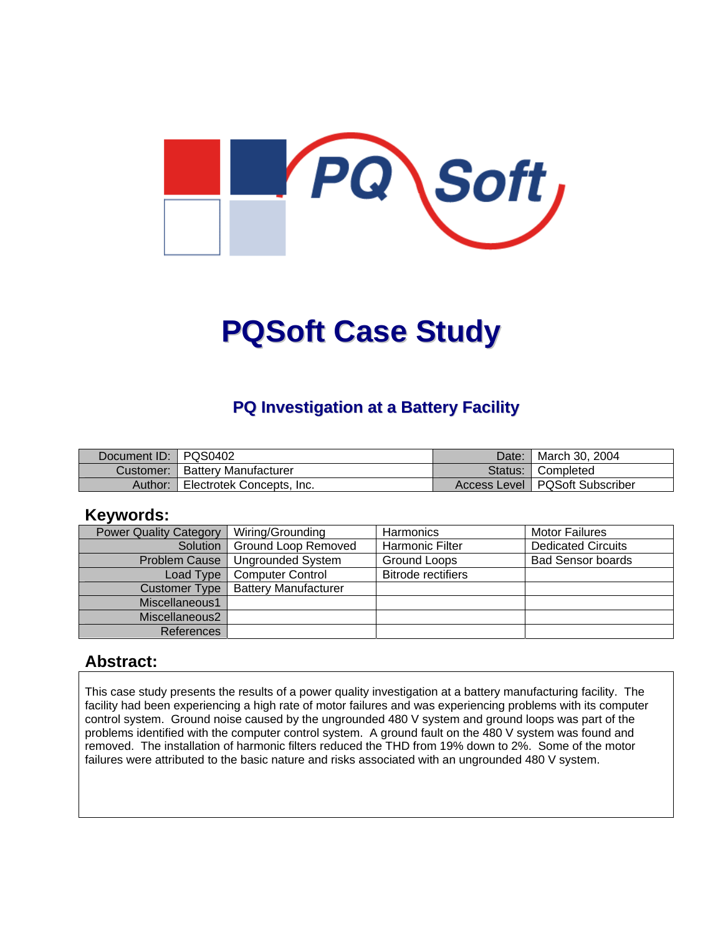

# **PQSoft Case Study**

## **PQ Investigation at a Battery Facility**

| Document ID: PQS0402 |                           | Date: | ¶ March 30, 2004                 |
|----------------------|---------------------------|-------|----------------------------------|
| Customer:            | l Batterv Manufacturer    |       | Status: Completed                |
| Author:              | Electrotek Concepts, Inc. |       | Access Level   PQSoft Subscriber |

#### **Keywords:**

| <b>Power Quality Category</b> | Wiring/Grounding            | Harmonics                 | <b>Motor Failures</b>     |
|-------------------------------|-----------------------------|---------------------------|---------------------------|
| Solution                      | Ground Loop Removed         | <b>Harmonic Filter</b>    | <b>Dedicated Circuits</b> |
| <b>Problem Cause</b>          | <b>Ungrounded System</b>    | Ground Loops              | <b>Bad Sensor boards</b>  |
| Load Type                     | <b>Computer Control</b>     | <b>Bitrode rectifiers</b> |                           |
| Customer Type                 | <b>Battery Manufacturer</b> |                           |                           |
| Miscellaneous1                |                             |                           |                           |
| Miscellaneous2                |                             |                           |                           |
| <b>References</b>             |                             |                           |                           |

#### **Abstract:**

This case study presents the results of a power quality investigation at a battery manufacturing facility. The facility had been experiencing a high rate of motor failures and was experiencing problems with its computer control system. Ground noise caused by the ungrounded 480 V system and ground loops was part of the problems identified with the computer control system. A ground fault on the 480 V system was found and removed. The installation of harmonic filters reduced the THD from 19% down to 2%. Some of the motor failures were attributed to the basic nature and risks associated with an ungrounded 480 V system.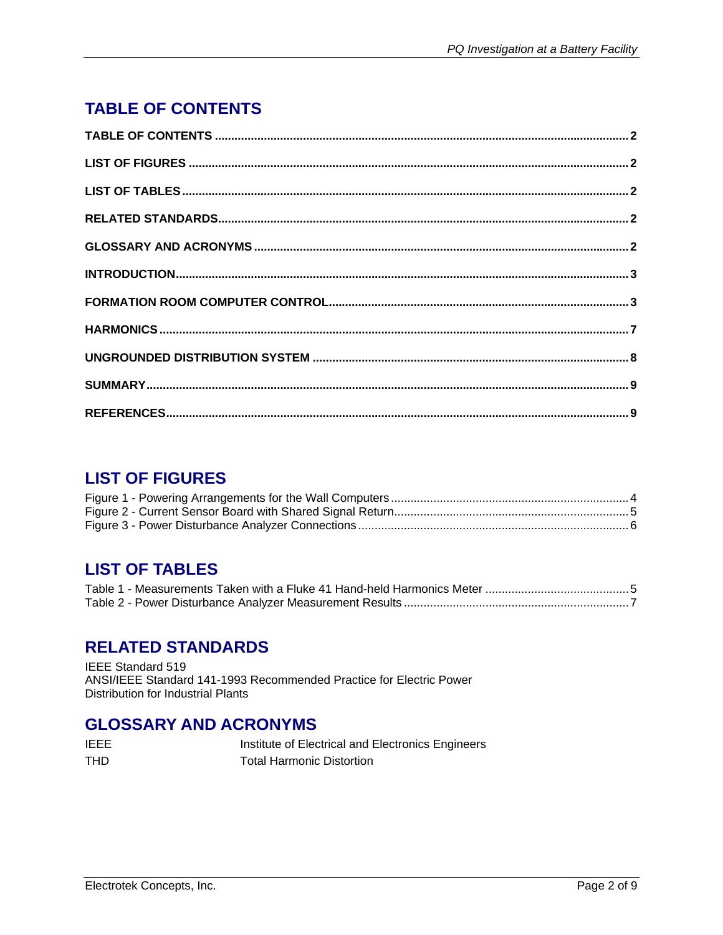# <span id="page-1-0"></span>**TABLE OF CONTENTS**

## **LIST OF FIGURES**

## **LIST OF TABLES**

### **RELATED STANDARDS**

IEEE Standard 519 ANSI/IEEE Standard 141-1993 Recommended Practice for Electric Power Distribution for Industrial Plants

#### **GLOSSARY AND ACRONYMS**

| IEEE | Institute of Electrical and Electronics Engineers |
|------|---------------------------------------------------|
| THD  | <b>Total Harmonic Distortion</b>                  |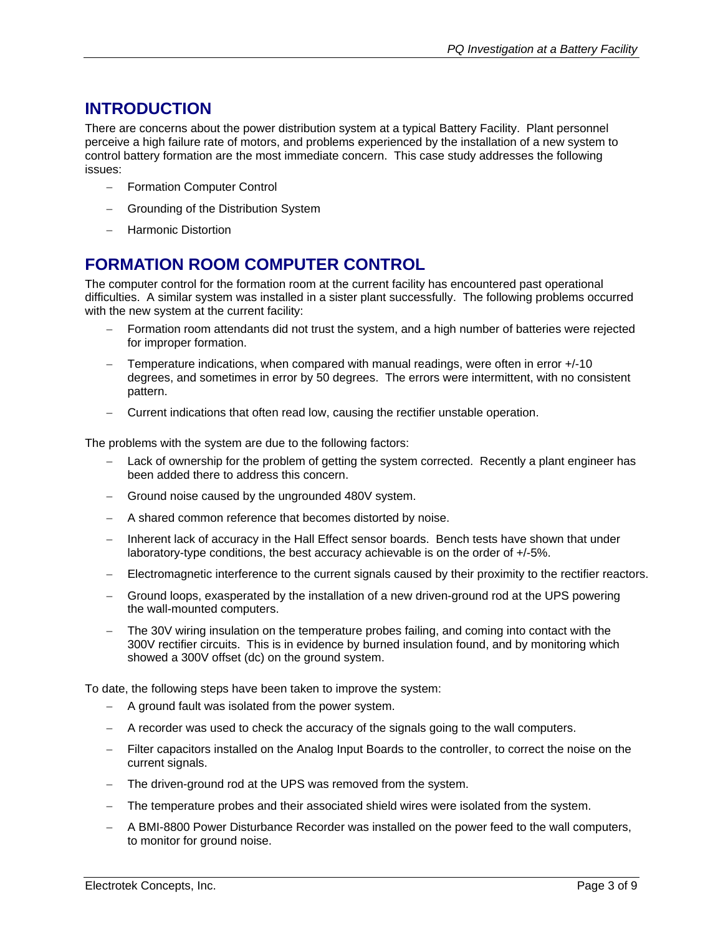### <span id="page-2-0"></span>**INTRODUCTION**

There are concerns about the power distribution system at a typical Battery Facility. Plant personnel perceive a high failure rate of motors, and problems experienced by the installation of a new system to control battery formation are the most immediate concern. This case study addresses the following issues:

- − Formation Computer Control
- Grounding of the Distribution System
- − Harmonic Distortion

### **FORMATION ROOM COMPUTER CONTROL**

The computer control for the formation room at the current facility has encountered past operational difficulties. A similar system was installed in a sister plant successfully. The following problems occurred with the new system at the current facility:

- − Formation room attendants did not trust the system, and a high number of batteries were rejected for improper formation.
- − Temperature indications, when compared with manual readings, were often in error +/-10 degrees, and sometimes in error by 50 degrees. The errors were intermittent, with no consistent pattern.
- − Current indications that often read low, causing the rectifier unstable operation.

The problems with the system are due to the following factors:

- Lack of ownership for the problem of getting the system corrected. Recently a plant engineer has been added there to address this concern.
- Ground noise caused by the ungrounded 480V system.
- − A shared common reference that becomes distorted by noise.
- − Inherent lack of accuracy in the Hall Effect sensor boards. Bench tests have shown that under laboratory-type conditions, the best accuracy achievable is on the order of +/-5%.
- − Electromagnetic interference to the current signals caused by their proximity to the rectifier reactors.
- − Ground loops, exasperated by the installation of a new driven-ground rod at the UPS powering the wall-mounted computers.
- The 30V wiring insulation on the temperature probes failing, and coming into contact with the 300V rectifier circuits. This is in evidence by burned insulation found, and by monitoring which showed a 300V offset (dc) on the ground system.

To date, the following steps have been taken to improve the system:

- − A ground fault was isolated from the power system.
- − A recorder was used to check the accuracy of the signals going to the wall computers.
- Filter capacitors installed on the Analog Input Boards to the controller, to correct the noise on the current signals.
- The driven-ground rod at the UPS was removed from the system.
- The temperature probes and their associated shield wires were isolated from the system.
- − A BMI-8800 Power Disturbance Recorder was installed on the power feed to the wall computers, to monitor for ground noise.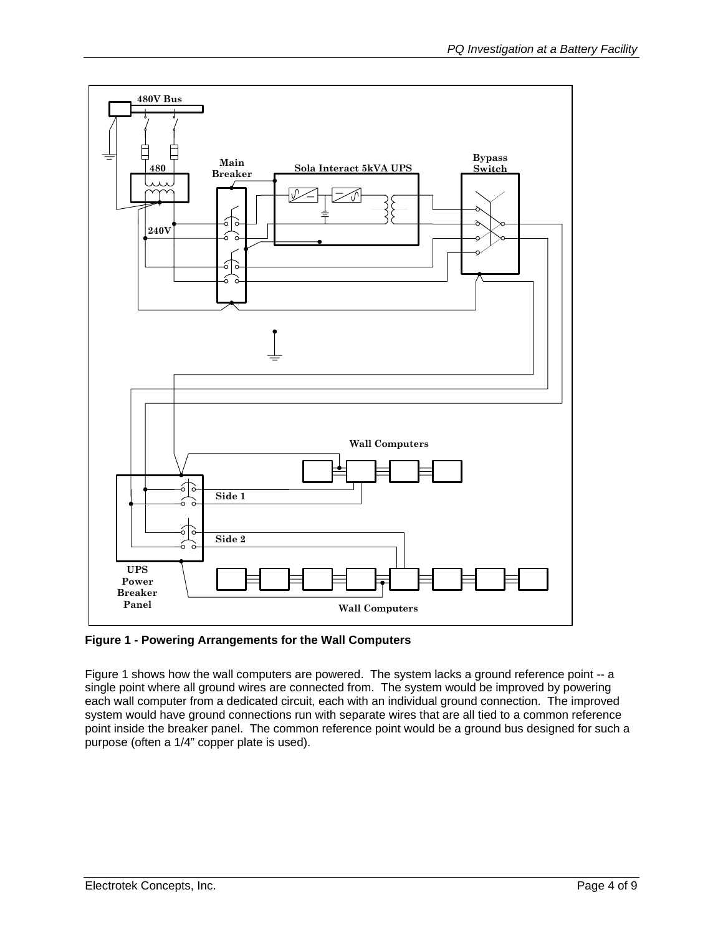<span id="page-3-0"></span>

**Figure 1 - Powering Arrangements for the Wall Computers** 

Figure 1 shows how the wall computers are powered. The system lacks a ground reference point -- a single point where all ground wires are connected from. The system would be improved by powering each wall computer from a dedicated circuit, each with an individual ground connection. The improved system would have ground connections run with separate wires that are all tied to a common reference point inside the breaker panel. The common reference point would be a ground bus designed for such a purpose (often a 1/4" copper plate is used).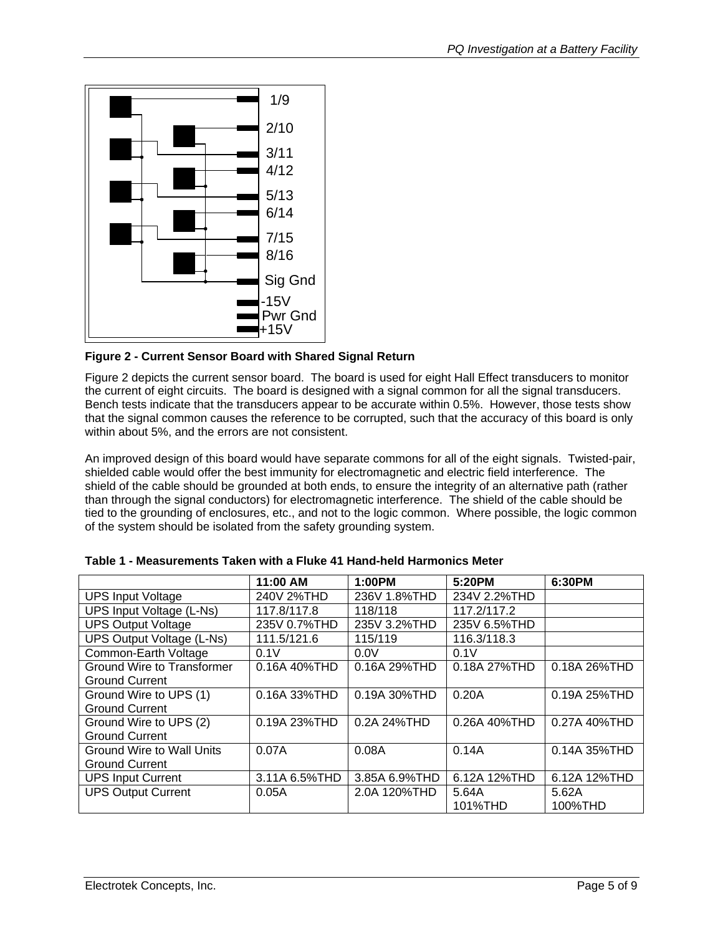<span id="page-4-0"></span>

**Figure 2 - Current Sensor Board with Shared Signal Return** 

Figure 2 depicts the current sensor board. The board is used for eight Hall Effect transducers to monitor the current of eight circuits. The board is designed with a signal common for all the signal transducers. Bench tests indicate that the transducers appear to be accurate within 0.5%. However, those tests show that the signal common causes the reference to be corrupted, such that the accuracy of this board is only within about 5%, and the errors are not consistent.

An improved design of this board would have separate commons for all of the eight signals. Twisted-pair, shielded cable would offer the best immunity for electromagnetic and electric field interference. The shield of the cable should be grounded at both ends, to ensure the integrity of an alternative path (rather than through the signal conductors) for electromagnetic interference. The shield of the cable should be tied to the grounding of enclosures, etc., and not to the logic common. Where possible, the logic common of the system should be isolated from the safety grounding system.

|                                   | 11:00 AM        | 1:00PM        | 5:20PM       | 6:30PM       |
|-----------------------------------|-----------------|---------------|--------------|--------------|
| <b>UPS Input Voltage</b>          | 240V 2%THD      | 236V 1.8%THD  | 234V 2.2%THD |              |
| UPS Input Voltage (L-Ns)          | 117.8/117.8     | 118/118       | 117.2/117.2  |              |
| <b>UPS Output Voltage</b>         | 235V 0.7%THD    | 235V 3.2%THD  | 235V 6.5%THD |              |
| <b>UPS Output Voltage (L-Ns)</b>  | 111.5/121.6     | 115/119       | 116.3/118.3  |              |
| Common-Earth Voltage              | 0.1V            | 0.0V          | 0.1V         |              |
| <b>Ground Wire to Transformer</b> | $0.16A$ 40% THD | 0.16A 29%THD  | 0.18A 27%THD | 0.18A 26%THD |
| <b>Ground Current</b>             |                 |               |              |              |
| Ground Wire to UPS (1)            | 0.16A 33%THD    | 0.19A 30%THD  | 0.20A        | 0.19A 25%THD |
| <b>Ground Current</b>             |                 |               |              |              |
| Ground Wire to UPS (2)            | 0.19A 23% THD   | 0.2A 24% THD  | 0.26A 40%THD | 0.27A 40%THD |
| <b>Ground Current</b>             |                 |               |              |              |
| <b>Ground Wire to Wall Units</b>  | 0.07A           | 0.08A         | 0.14A        | 0.14A 35%THD |
| <b>Ground Current</b>             |                 |               |              |              |
| <b>UPS Input Current</b>          | 3.11A 6.5% THD  | 3.85A 6.9%THD | 6.12A 12%THD | 6.12A 12%THD |
| <b>UPS Output Current</b>         | 0.05A           | 2.0A 120%THD  | 5.64A        | 5.62A        |
|                                   |                 |               | 101%THD      | 100%THD      |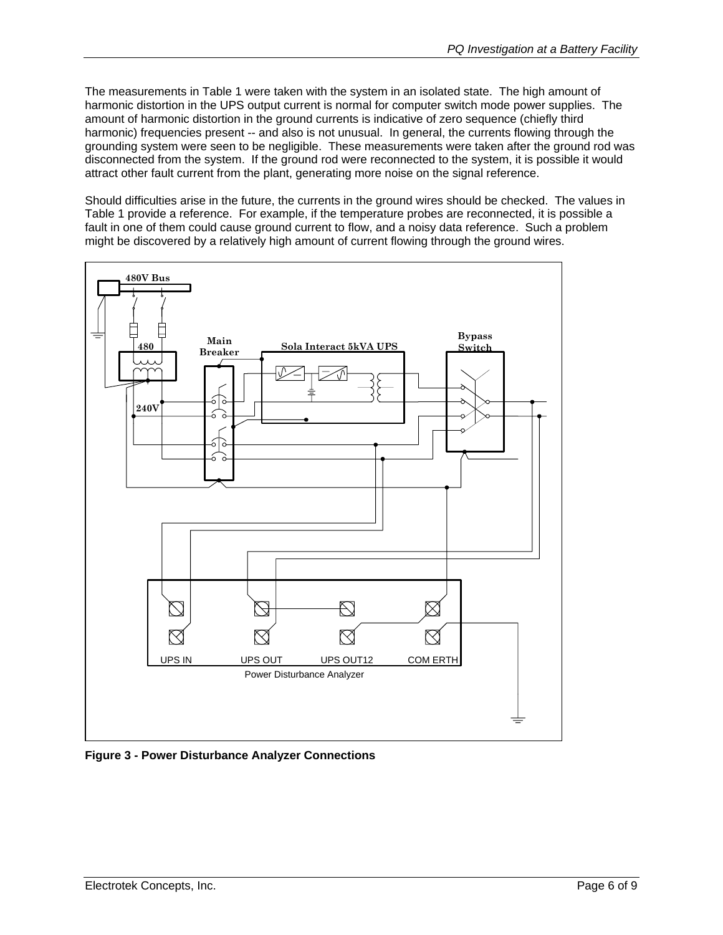<span id="page-5-0"></span>The measurements in Table 1 were taken with the system in an isolated state. The high amount of harmonic distortion in the UPS output current is normal for computer switch mode power supplies. The amount of harmonic distortion in the ground currents is indicative of zero sequence (chiefly third harmonic) frequencies present -- and also is not unusual. In general, the currents flowing through the grounding system were seen to be negligible. These measurements were taken after the ground rod was disconnected from the system. If the ground rod were reconnected to the system, it is possible it would attract other fault current from the plant, generating more noise on the signal reference.

Should difficulties arise in the future, the currents in the ground wires should be checked. The values in Table 1 provide a reference. For example, if the temperature probes are reconnected, it is possible a fault in one of them could cause ground current to flow, and a noisy data reference. Such a problem might be discovered by a relatively high amount of current flowing through the ground wires.



**Figure 3 - Power Disturbance Analyzer Connections**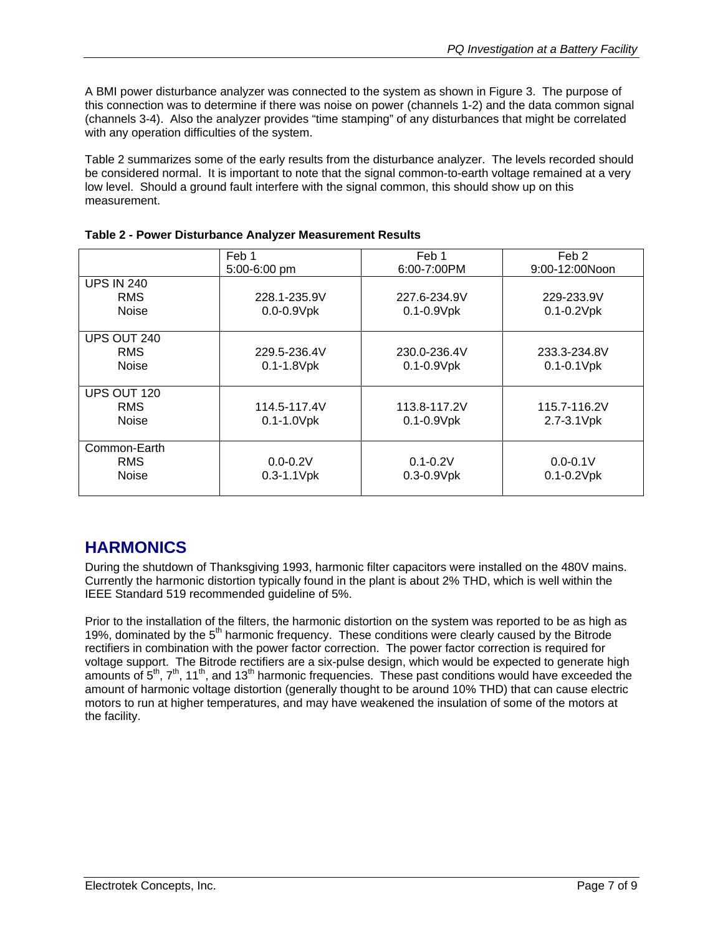<span id="page-6-0"></span>A BMI power disturbance analyzer was connected to the system as shown in Figure 3. The purpose of this connection was to determine if there was noise on power (channels 1-2) and the data common signal (channels 3-4). Also the analyzer provides "time stamping" of any disturbances that might be correlated with any operation difficulties of the system.

Table 2 summarizes some of the early results from the disturbance analyzer. The levels recorded should be considered normal. It is important to note that the signal common-to-earth voltage remained at a very low level. Should a ground fault interfere with the signal common, this should show up on this measurement.

|                   | Feb 1           | Feb 1            | Feb 2           |
|-------------------|-----------------|------------------|-----------------|
|                   | $5:00-6:00$ pm  | $6:00 - 7:00$ PM | 9:00-12:00Noon  |
| <b>UPS IN 240</b> |                 |                  |                 |
| <b>RMS</b>        | 228.1-235.9V    | 227.6-234.9V     | 229-233.9V      |
| <b>Noise</b>      | $0.0 - 0.9V$ pk | $0.1 - 0.9V$ pk  | $0.1 - 0.2V$ pk |
| UPS OUT 240       |                 |                  |                 |
| <b>RMS</b>        | 229.5-236.4V    | 230.0-236.4V     | 233.3-234.8V    |
| <b>Noise</b>      | $0.1 - 1.8$ Vpk | $0.1 - 0.9V$ pk  | $0.1 - 0.1$ Vpk |
|                   |                 |                  |                 |
| UPS OUT 120       |                 |                  |                 |
| <b>RMS</b>        | 114.5-117.4V    | 113.8-117.2V     | 115.7-116.2V    |
| <b>Noise</b>      | $0.1 - 1.0$ Vpk | $0.1 - 0.9V$ pk  | 2.7-3.1Vpk      |
|                   |                 |                  |                 |
| Common-Earth      |                 |                  |                 |
| <b>RMS</b>        | $0.0 - 0.2V$    | $0.1 - 0.2V$     | $0.0 - 0.1V$    |
| Noise             | $0.3 - 1.1$ Vpk | $0.3 - 0.9$ Vpk  | $0.1 - 0.2V$ pk |
|                   |                 |                  |                 |

|  |  | Table 2 - Power Disturbance Analyzer Measurement Results |
|--|--|----------------------------------------------------------|
|  |  |                                                          |

### **HARMONICS**

During the shutdown of Thanksgiving 1993, harmonic filter capacitors were installed on the 480V mains. Currently the harmonic distortion typically found in the plant is about 2% THD, which is well within the IEEE Standard 519 recommended guideline of 5%.

Prior to the installation of the filters, the harmonic distortion on the system was reported to be as high as 19%, dominated by the  $5<sup>th</sup>$  harmonic frequency. These conditions were clearly caused by the Bitrode rectifiers in combination with the power factor correction. The power factor correction is required for voltage support. The Bitrode rectifiers are a six-pulse design, which would be expected to generate high amounts of  $5<sup>th</sup>$ ,  $7<sup>th</sup>$ , 11<sup>th</sup>, and 13<sup>th</sup> harmonic frequencies. These past conditions would have exceeded the amount of harmonic voltage distortion (generally thought to be around 10% THD) that can cause electric motors to run at higher temperatures, and may have weakened the insulation of some of the motors at the facility.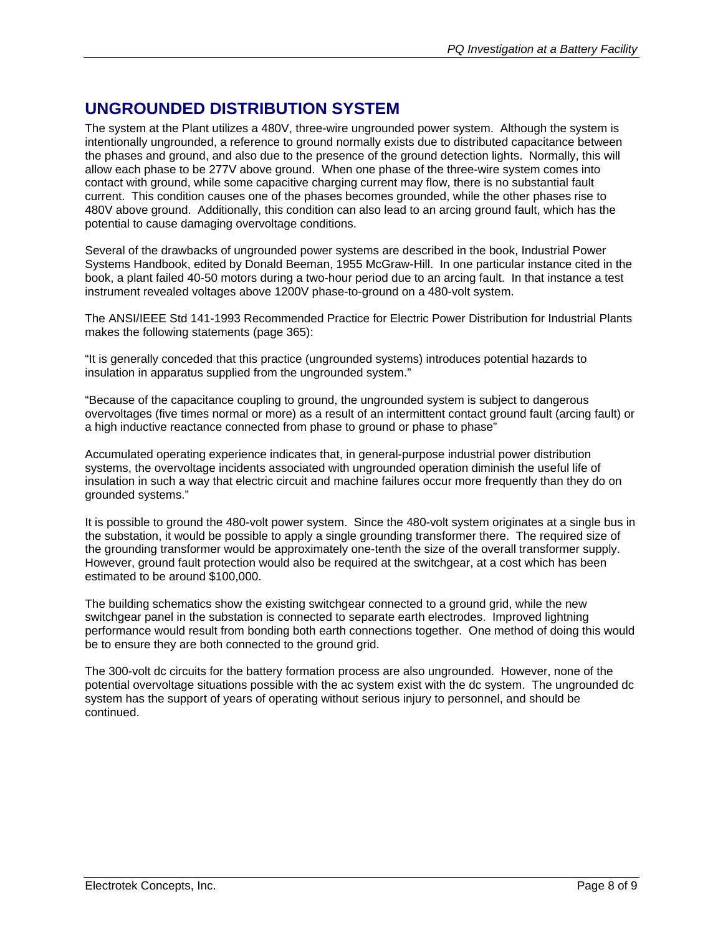## <span id="page-7-0"></span>**UNGROUNDED DISTRIBUTION SYSTEM**

The system at the Plant utilizes a 480V, three-wire ungrounded power system. Although the system is intentionally ungrounded, a reference to ground normally exists due to distributed capacitance between the phases and ground, and also due to the presence of the ground detection lights. Normally, this will allow each phase to be 277V above ground. When one phase of the three-wire system comes into contact with ground, while some capacitive charging current may flow, there is no substantial fault current. This condition causes one of the phases becomes grounded, while the other phases rise to 480V above ground. Additionally, this condition can also lead to an arcing ground fault, which has the potential to cause damaging overvoltage conditions.

Several of the drawbacks of ungrounded power systems are described in the book, Industrial Power Systems Handbook, edited by Donald Beeman, 1955 McGraw-Hill. In one particular instance cited in the book, a plant failed 40-50 motors during a two-hour period due to an arcing fault. In that instance a test instrument revealed voltages above 1200V phase-to-ground on a 480-volt system.

The ANSI/IEEE Std 141-1993 Recommended Practice for Electric Power Distribution for Industrial Plants makes the following statements (page 365):

"It is generally conceded that this practice (ungrounded systems) introduces potential hazards to insulation in apparatus supplied from the ungrounded system."

"Because of the capacitance coupling to ground, the ungrounded system is subject to dangerous overvoltages (five times normal or more) as a result of an intermittent contact ground fault (arcing fault) or a high inductive reactance connected from phase to ground or phase to phase"

Accumulated operating experience indicates that, in general-purpose industrial power distribution systems, the overvoltage incidents associated with ungrounded operation diminish the useful life of insulation in such a way that electric circuit and machine failures occur more frequently than they do on grounded systems."

It is possible to ground the 480-volt power system. Since the 480-volt system originates at a single bus in the substation, it would be possible to apply a single grounding transformer there. The required size of the grounding transformer would be approximately one-tenth the size of the overall transformer supply. However, ground fault protection would also be required at the switchgear, at a cost which has been estimated to be around \$100,000.

The building schematics show the existing switchgear connected to a ground grid, while the new switchgear panel in the substation is connected to separate earth electrodes. Improved lightning performance would result from bonding both earth connections together. One method of doing this would be to ensure they are both connected to the ground grid.

The 300-volt dc circuits for the battery formation process are also ungrounded. However, none of the potential overvoltage situations possible with the ac system exist with the dc system. The ungrounded dc system has the support of years of operating without serious injury to personnel, and should be continued.